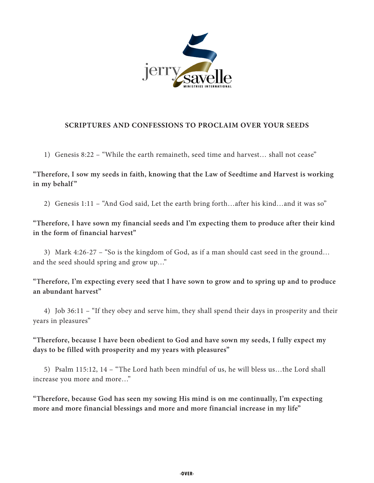

## **SCRIPTURES AND CONFESSIONS TO PROCLAIM OVER YOUR SEEDS**

1) Genesis 8:22 – "While the earth remaineth, seed time and harvest… shall not cease"

**"Therefore, I sow my seeds in faith, knowing that the Law of Seedtime and Harvest is working**  in my behalf"

2) Genesis 1:11 – "And God said, Let the earth bring forth…after his kind…and it was so"

**"Therefore, I have sown my financial seeds and I'm expecting them to produce after their kind in the form of financial harvest"**

3) Mark 4:26-27 – "So is the kingdom of God, as if a man should cast seed in the ground… and the seed should spring and grow up…"

**"Therefore, I'm expecting every seed that I have sown to grow and to spring up and to produce an abundant harvest"**

4) Job 36:11 – "If they obey and serve him, they shall spend their days in prosperity and their years in pleasures"

**"Therefore, because I have been obedient to God and have sown my seeds, I fully expect my days to be filled with prosperity and my years with pleasures"**

5) Psalm 115:12, 14 – "The Lord hath been mindful of us, he will bless us…the Lord shall increase you more and more…"

**"Therefore, because God has seen my sowing His mind is on me continually, I'm expecting more and more financial blessings and more and more financial increase in my life"**